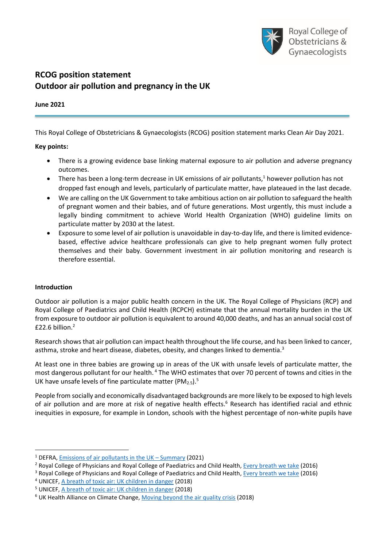

# **RCOG position statement Outdoor air pollution and pregnancy in the UK**

# **June 2021**

This Royal College of Obstetricians & Gynaecologists (RCOG) position statement marks Clean Air Day 2021.

# **Key points:**

- There is a growing evidence base linking maternal exposure to air pollution and adverse pregnancy outcomes.
- There has been a long-term decrease in UK emissions of air pollutants,<sup>1</sup> however pollution has not dropped fast enough and levels, particularly of particulate matter, have plateaued in the last decade.
- We are calling on the UK Government to take ambitious action on air pollution to safeguard the health of pregnant women and their babies, and of future generations. Most urgently, this must include a legally binding commitment to achieve World Health Organization (WHO) guideline limits on particulate matter by 2030 at the latest.
- Exposure to some level of air pollution is unavoidable in day-to-day life, and there is limited evidencebased, effective advice healthcare professionals can give to help pregnant women fully protect themselves and their baby. Government investment in air pollution monitoring and research is therefore essential.

#### **Introduction**

**.** 

Outdoor air pollution is a major public health concern in the UK. The Royal College of Physicians (RCP) and Royal College of Paediatrics and Child Health (RCPCH) estimate that the annual mortality burden in the UK from exposure to outdoor air pollution is equivalent to around 40,000 deaths, and has an annual social cost of £22.6 billion. 2

Research shows that air pollution can impact health throughout the life course, and has been linked to cancer, asthma, stroke and heart disease, diabetes, obesity, and changes linked to dementia. $3$ 

At least one in three babies are growing up in areas of the UK with unsafe levels of particulate matter, the most dangerous pollutant for our health. <sup>4</sup> The WHO estimates that over 70 percent of towns and cities in the UK have unsafe levels of fine particulate matter (PM<sub>2.5</sub>).<sup>5</sup>

People from socially and economically disadvantaged backgrounds are more likely to be exposed to high levels of air pollution and are more at risk of negative health effects.<sup>6</sup> Research has identified racial and ethnic inequities in exposure, for example in London, schools with the highest percentage of non-white pupils have

<sup>1</sup> DEFRA, [Emissions of air pollutants in the UK](https://www.gov.uk/government/statistics/emissions-of-air-pollutants/emissions-of-air-pollutants-in-the-uk-summary) – Summary (2021)

<sup>2</sup> Royal College of Physicians and Royal College of Paediatrics and Child Health[, Every breath we take](https://www.rcplondon.ac.uk/projects/outputs/every-breath-we-take-lifelong-impact-air-pollution) (2016)

<sup>&</sup>lt;sup>3</sup> Royal College of Physicians and Royal College of Paediatrics and Child Health[, Every breath we take](https://www.rcplondon.ac.uk/projects/outputs/every-breath-we-take-lifelong-impact-air-pollution) (2016)

<sup>4</sup> UNICEF[, A breath of toxic air: UK children in danger](https://downloads.unicef.org.uk/wp-content/uploads/2018/06/A-breath-of-toxic-air_UnicefUKResearchPaper_June2018.pdf?_adal_sd=www.unicef.org.uk.1619953364523&_adal_ca=so%3DGoogle%26me%3Dorganic%26ca%3D(not%2520set)%26co%3D(not%2520set)%26ke%3D(not%2520set).1619953364523&_adal_cw=1619953361913.1619953364523&_adal_id=5f47bbe1-754e-49e4-96ce-1a8c4589be56.1619953362.2.1619953362.1619953362.f247274e-1a7b-42db-9733-dfbadb4443b6.1619953364523&_ga=2.211397013.1247138210.1619953361-482186358.1619953361) (2018)

<sup>5</sup> UNICEF[, A breath of toxic air: UK children in danger](https://downloads.unicef.org.uk/wp-content/uploads/2018/06/A-breath-of-toxic-air_UnicefUKResearchPaper_June2018.pdf?_adal_sd=www.unicef.org.uk.1619953364523&_adal_ca=so%3DGoogle%26me%3Dorganic%26ca%3D(not%2520set)%26co%3D(not%2520set)%26ke%3D(not%2520set).1619953364523&_adal_cw=1619953361913.1619953364523&_adal_id=5f47bbe1-754e-49e4-96ce-1a8c4589be56.1619953362.2.1619953362.1619953362.f247274e-1a7b-42db-9733-dfbadb4443b6.1619953364523&_ga=2.211397013.1247138210.1619953361-482186358.1619953361) (2018)

<sup>6</sup> UK Health Alliance on Climate Change, [Moving beyond the air quality crisis](http://www.ukhealthalliance.org/wp-content/uploads/2018/10/Moving-beyond-the-Air-Quality-Crisis-4WEB-29_10-2018-final-1.pdf) (2018)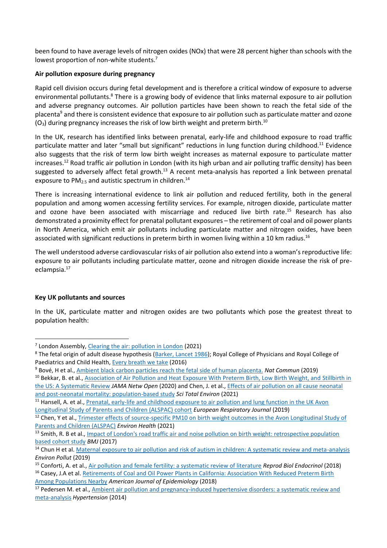been found to have average levels of nitrogen oxides (NOx) that were 28 percent higher than schools with the lowest proportion of non-white students.<sup>7</sup>

# **Air pollution exposure during pregnancy**

Rapid cell division occurs during fetal development and is therefore a critical window of exposure to adverse environmental pollutants.<sup>8</sup> There is a growing body of evidence that links maternal exposure to air pollution and adverse pregnancy outcomes. Air pollution particles have been shown to reach the fetal side of the placenta<sup>9</sup> and there is consistent evidence that exposure to air pollution such as particulate matter and ozone (O<sub>3</sub>) during pregnancy increases the risk of low birth weight and preterm birth.<sup>10</sup>

In the UK, research has identified links between prenatal, early-life and childhood exposure to road traffic particulate matter and later "small but significant" reductions in lung function during childhood.<sup>11</sup> Evidence also suggests that the risk of term low birth weight increases as maternal exposure to particulate matter increases. <sup>12</sup> Road traffic air pollution in London (with its high urban and air polluting traffic density) has been suggested to adversely affect fetal growth.<sup>13</sup> A recent meta-analysis has reported a link between prenatal exposure to  $PM<sub>2.5</sub>$  and autistic spectrum in children.<sup>14</sup>

There is increasing international evidence to link air pollution and reduced fertility, both in the general population and among women accessing fertility services. For example, nitrogen dioxide, particulate matter and ozone have been associated with miscarriage and reduced live birth rate. <sup>15</sup> Research has also demonstrated a proximity effect for prenatal pollutant exposures – the retirement of coal and oil power plants in North America, which emit air pollutants including particulate matter and nitrogen oxides, have been associated with significant reductions in preterm birth in women living within a 10 km radius.<sup>16</sup>

The well understood adverse cardiovascular risks of air pollution also extend into a woman's reproductive life: exposure to air pollutants including particulate matter, ozone and nitrogen dioxide increase the risk of preeclampsia.<sup>17</sup>

#### **Key UK pollutants and sources**

1

In the UK, particulate matter and nitrogen oxides are two pollutants which pose the greatest threat to population health:

<sup>&</sup>lt;sup>7</sup> London Assembly[, Clearing the air: pollution in London](https://www.london.gov.uk/about-us/london-assembly/london-assembly-publications/clearing-air-pollution-london) (2021)

<sup>8</sup> The fetal origin of adult disease hypothesis [\(Barker, Lancet 1986\)](https://www.thelancet.com/journals/lancet/article/PIIS0140-6736(86)91340-1/fulltext); Royal College of Physicians and Royal College of Paediatrics and Child Health[, Every breath we take](https://www.rcplondon.ac.uk/projects/outputs/every-breath-we-take-lifelong-impact-air-pollution) (2016)

<sup>9</sup> Bové, H et al., [Ambient black carbon particles reach the fetal side of human placenta.](https://www.nature.com/articles/s41467-019-11654-3) *Nat Commun* (2019)

<sup>&</sup>lt;sup>10</sup> Bekkar, B. et al., Association of Air Pollution and Heat Exposure With Preterm Birth, Low Birth Weight, and Stillbirth in [the US: A Systematic Review](https://jamanetwork.com/journals/jamanetworkopen/fullarticle/2767260?utm_source=For_The_Media&utm_medium=referral&utm_campaign=ftm_links&utm_term=061820) *JAMA Netw Open* (2020) and Chen, J. et al., [Effects of air pollution on all cause neonatal](https://pubmed.ncbi.nlm.nih.gov/33190892/)  [and post-neonatal mortality: population-based study](https://pubmed.ncbi.nlm.nih.gov/33190892/) *Sci Total Environ* (2021)

<sup>&</sup>lt;sup>11</sup> Hansell, A. et al., Prenatal, early-life and childhood exposure to air pollution and lung function in the UK Avon [Longitudinal Study of Parents and Children \(ALSPAC\) cohort](https://erj.ersjournals.com/content/54/suppl_63/OA482) *European Respiratory Journal* (2019)

<sup>&</sup>lt;sup>12</sup> Chen, Y et al., Trimester effects of source-specific PM10 on birth weight outcomes in the Avon Longitudinal Study of [Parents and Children \(ALSPAC\)](https://ehjournal.biomedcentral.com/articles/10.1186/s12940-020-00684-w) *Environ Health* (2021)

<sup>&</sup>lt;sup>13</sup> Smith, R. B et al., Impact of London's road traffic air and noise pollution on birth weight: retrospective population [based cohort study](https://www.bmj.com/content/359/bmj.j5299) *BMJ* (2017)

<sup>&</sup>lt;sup>14</sup> Chun H et al. [Maternal exposure to air pollution and risk of autism in children: A systematic review and meta-analysis](https://pubmed.ncbi.nlm.nih.gov/31733973/) *Environ Pollut* (2019)

<sup>15</sup> Conforti, A. et al., [Air pollution and female fertility: a systematic review of literature](https://pubmed.ncbi.nlm.nih.gov/30594197/) *Reprod Biol Endocrinol* (2018)

<sup>&</sup>lt;sup>16</sup> Casey, J.A et al. Retirements of Coal and Oil Power Plants in California: Association With Reduced Preterm Birth [Among Populations Nearby](https://academic.oup.com/aje/article/187/8/1586/4996680) *American Journal of Epidemiology* (2018)

<sup>&</sup>lt;sup>17</sup> Pedersen M. et al., Ambient air pollution and pregnancy-induced hypertensive disorders: a systematic review and [meta-analysis](https://pubmed.ncbi.nlm.nih.gov/24935943/) *Hypertension* (2014)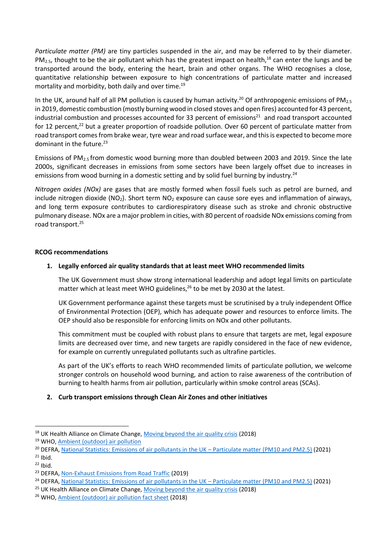*Particulate matter (PM)* are tiny particles suspended in the air, and may be referred to by their diameter. PM<sub>2.5</sub>, thought to be the air pollutant which has the greatest impact on health,<sup>18</sup> can enter the lungs and be transported around the body, entering the heart, brain and other organs. The WHO recognises a close, quantitative relationship between exposure to high concentrations of particulate matter and increased mortality and morbidity, both daily and over time.<sup>19</sup>

In the UK, around half of all PM pollution is caused by human activity.<sup>20</sup> Of anthropogenic emissions of PM<sub>2.5</sub> in 2019, domestic combustion (mostly burning wood in closed stoves and open fires) accounted for 43 percent, industrial combustion and processes accounted for 33 percent of emissions<sup>21</sup> and road transport accounted for 12 percent,<sup>22</sup> but a greater proportion of roadside pollution. Over 60 percent of particulate matter from road transport comes from brake wear, tyre wear and road surface wear, and this is expected to become more dominant in the future.<sup>23</sup>

Emissions of PM2.5 from domestic wood burning more than doubled between 2003 and 2019. Since the late 2000s, significant decreases in emissions from some sectors have been largely offset due to increases in emissions from wood burning in a domestic setting and by solid fuel burning by industry.<sup>24</sup>

*Nitrogen oxides (NOx)* are gases that are mostly formed when fossil fuels such as petrol are burned, and include nitrogen dioxide (NO<sub>2</sub>). Short term NO<sub>2</sub> exposure can cause sore eyes and inflammation of airways, and long term exposure contributes to cardiorespiratory disease such as stroke and chronic obstructive pulmonary disease. NOx are a major problem in cities, with 80 percent of roadside NOx emissions coming from road transport.<sup>25</sup>

# **RCOG recommendations**

# **1. Legally enforced air quality standards that at least meet WHO recommended limits**

The UK Government must show strong international leadership and adopt legal limits on particulate matter which at least meet WHO guidelines,<sup>26</sup> to be met by 2030 at the latest.

UK Government performance against these targets must be scrutinised by a truly independent Office of Environmental Protection (OEP), which has adequate power and resources to enforce limits. The OEP should also be responsible for enforcing limits on NOx and other pollutants.

This commitment must be coupled with robust plans to ensure that targets are met, legal exposure limits are decreased over time, and new targets are rapidly considered in the face of new evidence, for example on currently unregulated pollutants such as ultrafine particles.

As part of the UK's efforts to reach WHO recommended limits of particulate pollution, we welcome stronger controls on household wood burning, and action to raise awareness of the contribution of burning to health harms from air pollution, particularly within smoke control areas (SCAs).

# **2. Curb transport emissions through Clean Air Zones and other initiatives**

 $\overline{\phantom{a}}$ 

<sup>&</sup>lt;sup>18</sup> UK Health Alliance on Climate Change, [Moving beyond the air quality crisis](http://www.ukhealthalliance.org/wp-content/uploads/2018/10/Moving-beyond-the-Air-Quality-Crisis-4WEB-29_10-2018-final-1.pdf) (2018)

<sup>19</sup> WHO, [Ambient \(outdoor\) air pollution](https://www.who.int/news-room/fact-sheets/detail/ambient-(outdoor)-air-quality-and-health)

<sup>&</sup>lt;sup>20</sup> DEFRA[, National Statistics: Emissions of air pollutants in the UK](https://www.gov.uk/government/statistics/emissions-of-air-pollutants/emissions-of-air-pollutants-in-the-uk-particulate-matter-pm10-and-pm25) – Particulate matter (PM10 and PM2.5) (2021)

 $21$  Ibid.  $22$  Ibid.

<sup>&</sup>lt;sup>23</sup> DEFRA[, Non-Exhaust Emissions from Road Traffic](https://uk-air.defra.gov.uk/library/reports.php?report_id=992) (2019)

<sup>&</sup>lt;sup>24</sup> DEFRA[, National Statistics: Emissions of air pollutants in the UK](https://www.gov.uk/government/statistics/emissions-of-air-pollutants/emissions-of-air-pollutants-in-the-uk-particulate-matter-pm10-and-pm25) – Particulate matter (PM10 and PM2.5) (2021)

<sup>&</sup>lt;sup>25</sup> UK Health Alliance on Climate Change, [Moving beyond the air quality crisis](http://www.ukhealthalliance.org/wp-content/uploads/2018/10/Moving-beyond-the-Air-Quality-Crisis-4WEB-29_10-2018-final-1.pdf) (2018)

<sup>26</sup> WHO, [Ambient \(outdoor\) air pollution fact sheet](https://www.who.int/news-room/fact-sheets/detail/ambient-(outdoor)-air-quality-and-health) (2018)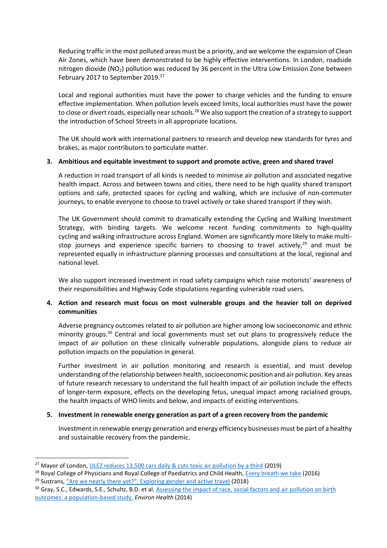Reducing traffic in the most polluted areas must be a priority, and we welcome the expansion of Clean Air Zones, which have been demonstrated to be highly effective interventions. In London, roadside nitrogen dioxide (NO2) pollution was reduced by 36 percent in the Ultra Low Emission Zone between February 2017 to September 2019.<sup>27</sup>

Local and regional authorities must have the power to charge vehicles and the funding to ensure effective implementation. When pollution levels exceed limits, local authorities must have the power to close or divert roads, especially near schools.<sup>28</sup> We also support the creation of a strategy to support the introduction of School Streets in all appropriate locations.

The UK should work with international partners to research and develop new standards for tyres and brakes, as major contributors to particulate matter.

#### **3. Ambitious and equitable investment to support and promote active, green and shared travel**

A reduction in road transport of all kinds is needed to minimise air pollution and associated negative health impact. Across and between towns and cities, there need to be high quality shared transport options and safe, protected spaces for cycling and walking, which are inclusive of non-commuter journeys, to enable everyone to choose to travel actively or take shared transport if they wish.

The UK Government should commit to dramatically extending the Cycling and Walking Investment Strategy, with binding targets. We welcome recent funding commitments to high-quality cycling and walking infrastructure across England. Women are significantly more likely to make multistop journeys and experience specific barriers to choosing to travel actively,<sup>29</sup> and must be represented equally in infrastructure planning processes and consultations at the local, regional and national level.

We also support increased investment in road safety campaigns which raise motorists' awareness of their responsibilities and Highway Code stipulations regarding vulnerable road users.

# **4. Action and research must focus on most vulnerable groups and the heavier toll on deprived communities**

Adverse pregnancy outcomes related to air pollution are higher among low socioeconomic and ethnic minority groups. <sup>30</sup> Central and local governments must set out plans to progressively reduce the impact of air pollution on these clinically vulnerable populations, alongside plans to reduce air pollution impacts on the population in general.

Further investment in air pollution monitoring and research is essential, and must develop understanding of the relationship between health, socioeconomic position and air pollution. Key areas of future research necessary to understand the full health impact of air pollution include the effects of longer-term exposure, effects on the developing fetus, unequal impact among racialised groups, the health impacts of WHO limits and below, and impacts of existing interventions.

#### **5. Investment in renewable energy generation as part of a green recovery from the pandemic**

Investment in renewable energy generation and energy efficiency businesses must be part of a healthy and sustainable recovery from the pandemic.

**.** 

<sup>&</sup>lt;sup>27</sup> Mayor of London[, ULEZ reduces 13,500 cars daily & cuts toxic air pollution by a third](https://www.london.gov.uk/press-releases/mayoral/ulez-reduces-polluting-cars-by-13500-every-day) (2019)

<sup>&</sup>lt;sup>28</sup> Royal College of Physicians and Royal College of Paediatrics and Child Health[, Every breath we take](https://www.rcplondon.ac.uk/projects/outputs/every-breath-we-take-lifelong-impact-air-pollution) (2016)

<sup>&</sup>lt;sup>29</sup> Sustrans, ["Are we nearly there yet?": Exploring gender and active travel](https://www.sustrans.org.uk/media/2879/2879.pdf) (2018)

<sup>30</sup> Gray, S.C., Edwards, S.E., Schultz, B.D. et al. Assessing the impact of race, social factors and air pollution on birth [outcomes: a population-based study.](https://ehjournal.biomedcentral.com/articles/10.1186/1476-069X-13-4#citeas) *Environ Health* (2014)